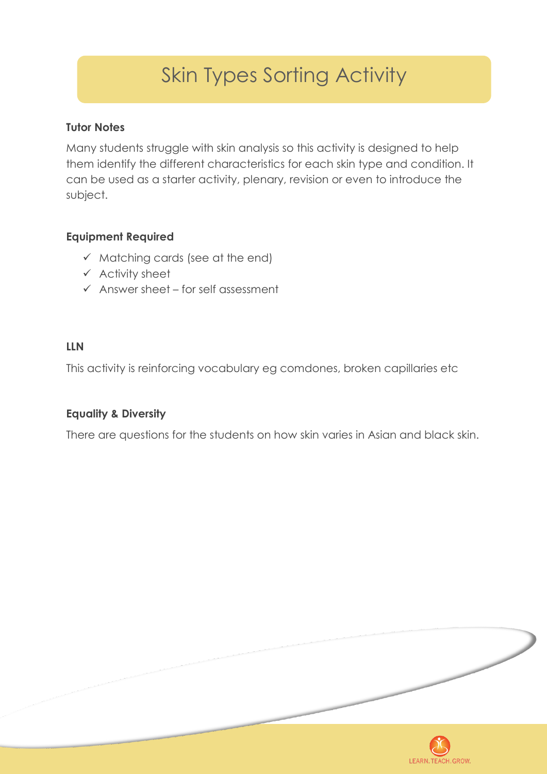# Skin Types Sorting Activity

### **Tutor Notes**

Many students struggle with skin analysis so this activity is designed to help them identify the different characteristics for each skin type and condition. It can be used as a starter activity, plenary, revision or even to introduce the subject.

### **Equipment Required**

- $\checkmark$  Matching cards (see at the end)
- $\checkmark$  Activity sheet
- $\checkmark$  Answer sheet for self assessment

### **LLN**

This activity is reinforcing vocabulary eg comdones, broken capillaries etc

#### **Equality & Diversity**

There are questions for the students on how skin varies in Asian and black skin.

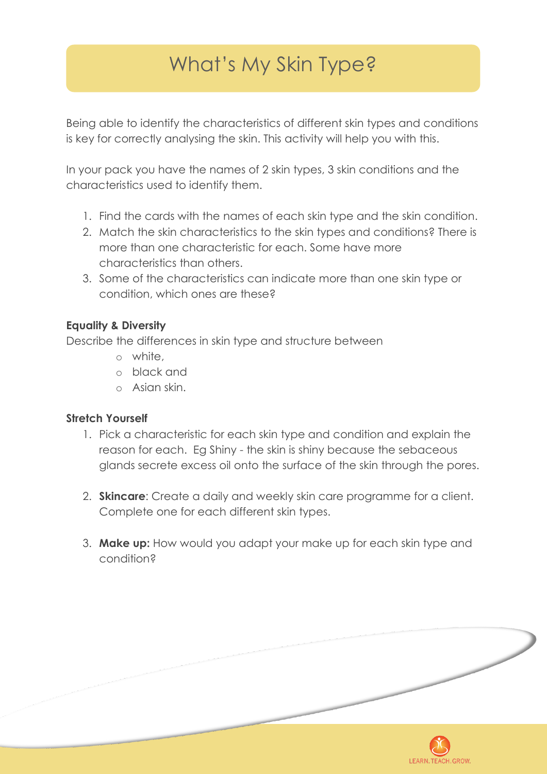# What's My Skin Type?

Being able to identify the characteristics of different skin types and conditions is key for correctly analysing the skin. This activity will help you with this.

In your pack you have the names of 2 skin types, 3 skin conditions and the characteristics used to identify them.

- 1. Find the cards with the names of each skin type and the skin condition.
- 2. Match the skin characteristics to the skin types and conditions? There is more than one characteristic for each. Some have more characteristics than others.
- 3. Some of the characteristics can indicate more than one skin type or condition, which ones are these?

### **Equality & Diversity**

Describe the differences in skin type and structure between

- o white,
- o black and
- o Asian skin.

### **Stretch Yourself**

- 1. Pick a characteristic for each skin type and condition and explain the reason for each. Eg Shiny - the skin is shiny because the sebaceous glands secrete excess oil onto the surface of the skin through the pores.
- 2. **Skincare**: Create a daily and weekly skin care programme for a client. Complete one for each different skin types.
- 3. **Make up:** How would you adapt your make up for each skin type and condition?